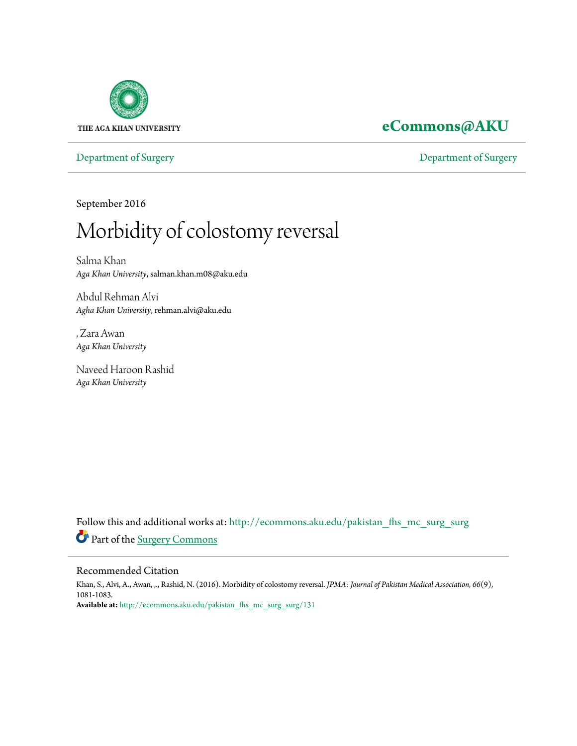

# **[eCommons@AKU](http://ecommons.aku.edu?utm_source=ecommons.aku.edu%2Fpakistan_fhs_mc_surg_surg%2F131&utm_medium=PDF&utm_campaign=PDFCoverPages)**

[Department of Surgery](http://ecommons.aku.edu/pakistan_fhs_mc_surg_surg?utm_source=ecommons.aku.edu%2Fpakistan_fhs_mc_surg_surg%2F131&utm_medium=PDF&utm_campaign=PDFCoverPages) [Department of Surgery](http://ecommons.aku.edu/pakistan_fhs_mc_surg?utm_source=ecommons.aku.edu%2Fpakistan_fhs_mc_surg_surg%2F131&utm_medium=PDF&utm_campaign=PDFCoverPages)

September 2016

# Morbidity of colostomy reversal

Salma Khan *Aga Khan University*, salman.khan.m08@aku.edu

Abdul Rehman Alvi *Agha Khan University*, rehman.alvi@aku.edu

, Zara Awan *Aga Khan University*

Naveed Haroon Rashid *Aga Khan University*

Follow this and additional works at: [http://ecommons.aku.edu/pakistan\\_fhs\\_mc\\_surg\\_surg](http://ecommons.aku.edu/pakistan_fhs_mc_surg_surg?utm_source=ecommons.aku.edu%2Fpakistan_fhs_mc_surg_surg%2F131&utm_medium=PDF&utm_campaign=PDFCoverPages) Part of the [Surgery Commons](http://network.bepress.com/hgg/discipline/706?utm_source=ecommons.aku.edu%2Fpakistan_fhs_mc_surg_surg%2F131&utm_medium=PDF&utm_campaign=PDFCoverPages)

#### Recommended Citation

Khan, S., Alvi, A., Awan, ,., Rashid, N. (2016). Morbidity of colostomy reversal. *JPMA: Journal of Pakistan Medical Association, 66*(9), 1081-1083. **Available at:** [http://ecommons.aku.edu/pakistan\\_fhs\\_mc\\_surg\\_surg/131](http://ecommons.aku.edu/pakistan_fhs_mc_surg_surg/131)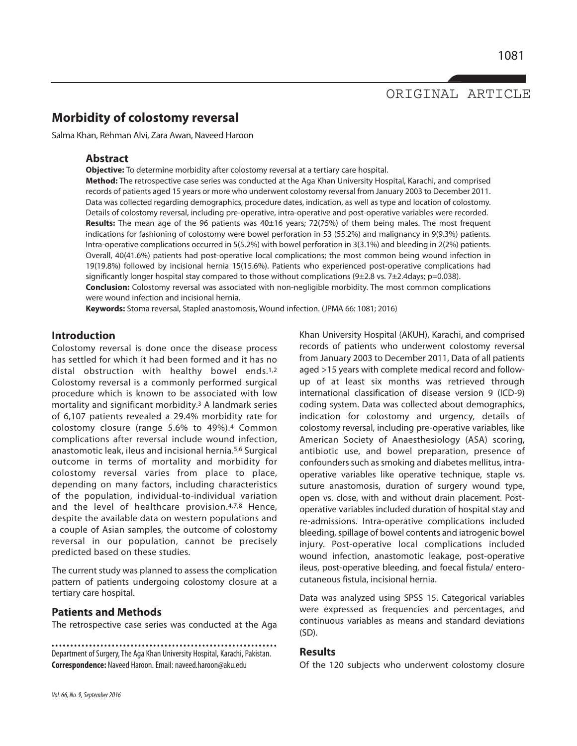# ORIGINAL ARTICLE

# **Morbidity of colostomy reversal**

Salma Khan, Rehman Alvi, Zara Awan, Naveed Haroon

#### **Abstract**

**Objective:** To determine morbidity after colostomy reversal at a tertiary care hospital.

**Method:** The retrospective case series was conducted at the Aga Khan University Hospital, Karachi, and comprised records of patients aged 15 years or more who underwent colostomy reversal from January 2003 to December 2011. Data was collected regarding demographics, procedure dates, indication, as well as type and location of colostomy. Details of colostomy reversal, including pre-operative, intra-operative and post-operative variables were recorded. **Results:** The mean age of the 96 patients was 40±16 years; 72(75%) of them being males. The most frequent indications for fashioning of colostomy were bowel perforation in 53 (55.2%) and malignancy in 9(9.3%) patients. Intra-operative complications occurred in 5(5.2%) with bowel perforation in 3(3.1%) and bleeding in 2(2%) patients. Overall, 40(41.6%) patients had post-operative local complications; the most common being wound infection in 19(19.8%) followed by incisional hernia 15(15.6%). Patients who experienced post-operative complications had significantly longer hospital stay compared to those without complications (9±2.8 vs. 7±2.4days; p=0.038).

**Conclusion:** Colostomy reversal was associated with non-negligible morbidity. The most common complications were wound infection and incisional hernia.

**Keywords:** Stoma reversal, Stapled anastomosis, Wound infection. (JPMA 66: 1081; 2016)

#### **Introduction**

Colostomy reversal is done once the disease process has settled for which it had been formed and it has no distal obstruction with healthy bowel ends.1,2 Colostomy reversal is a commonly performed surgical procedure which is known to be associated with low mortality and significant morbidity. <sup>3</sup> A landmark series of 6,107 patients revealed a 29.4% morbidity rate for colostomy closure (range 5.6% to 49%).4 Common complications after reversal include wound infection, anastomotic leak, ileus and incisional hernia. 5,6 Surgical outcome in terms of mortality and morbidity for colostomy reversal varies from place to place, depending on many factors, including characteristics of the population, individual-to-individual variation and the level of healthcare provision.4,7,8 Hence, despite the available data on western populations and a couple of Asian samples, the outcome of colostomy reversal in our population, cannot be precisely predicted based on these studies.

The current study was planned to assess the complication pattern of patients undergoing colostomy closure at a tertiary care hospital.

#### **Patients and Methods**

The retrospective case series was conducted at the Aga

Department of Surgery, The Aga Khan University Hospital, Karachi, Pakistan. **Correspondence:** Naveed Haroon.Email: naveed.haroon@aku.edu

Khan University Hospital (AKUH), Karachi, and comprised records of patients who underwent colostomy reversal from January 2003 to December 2011, Data of all patients aged >15 years with complete medical record and followup of at least six months was retrieved through international classification of disease version 9 (ICD-9) coding system. Data was collected about demographics, indication for colostomy and urgency, details of colostomy reversal, including pre-operative variables, like American Society of Anaesthesiology (ASA) scoring, antibiotic use, and bowel preparation, presence of confounders such as smoking and diabetes mellitus, intraoperative variables like operative technique, staple vs. suture anastomosis, duration of surgery wound type, open vs. close, with and without drain placement. Postoperative variables included duration of hospital stay and re-admissions. Intra-operative complications included bleeding, spillage of bowel contents and iatrogenic bowel injury. Post-operative local complications included wound infection, anastomotic leakage, post-operative ileus, post-operative bleeding, and foecal fistula/ enterocutaneous fistula, incisional hernia.

Data was analyzed using SPSS 15. Categorical variables were expressed as frequencies and percentages, and continuous variables as means and standard deviations (SD).

### **Results**

Of the 120 subjects who underwent colostomy closure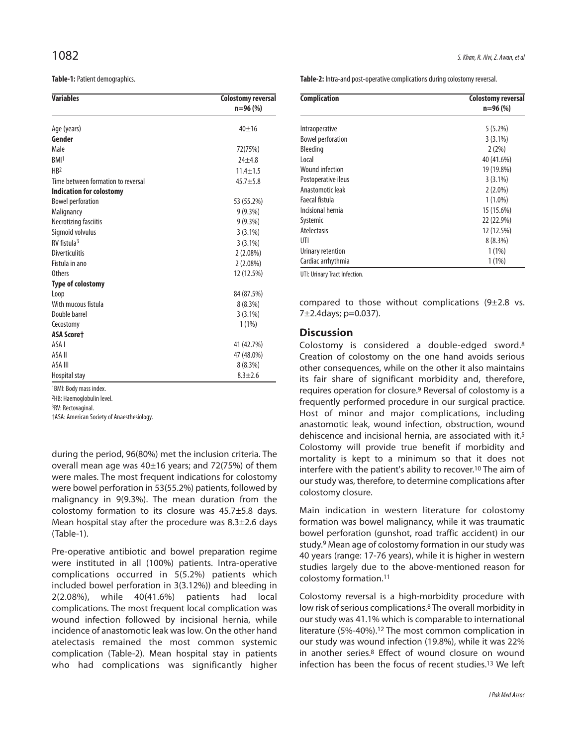**Table-1: Patient demographics.** 

| <b>Variables</b>                   | <b>Colostomy reversal</b><br>$n=96(%)$ |
|------------------------------------|----------------------------------------|
|                                    |                                        |
| Gender                             |                                        |
| Male                               | 72(75%)                                |
| BMI <sup>1</sup>                   | $24 + 4.8$                             |
| HB <sup>2</sup>                    | $11.4 + 1.5$                           |
| Time between formation to reversal | $45.7 + 5.8$                           |
| <b>Indication for colostomy</b>    |                                        |
| <b>Bowel perforation</b>           | 53 (55.2%)                             |
| Malignancy                         | $9(9.3\%)$                             |
| Necrotizing fasciitis              | $9(9.3\%)$                             |
| Sigmoid volvulus                   | $3(3.1\%)$                             |
| $RV$ fistula <sup>3</sup>          | $3(3.1\%)$                             |
| <b>Diverticulitis</b>              | 2(2.08%)                               |
| Fistula in ano                     | 2(2.08%)                               |
| Others                             | 12 (12.5%)                             |
| <b>Type of colostomy</b>           |                                        |
| Loop                               | 84 (87.5%)                             |
| With mucous fistula                | $8(8.3\%)$                             |
| Double barrel                      | $3(3.1\%)$                             |
| Cecostomy                          | $1(1\%)$                               |
| <b>ASA Scoret</b>                  |                                        |
| ASA I                              | 41 (42.7%)                             |
| ASA II                             | 47 (48.0%)                             |
| ASA III                            | $8(8.3\%)$                             |
| Hospital stay                      | $8.3 + 2.6$                            |

1BMI: Body mass index.

2HB: Haemoglobulin level.

3RV: Rectovaginal.

†ASA: American Societyof Anaesthesiology.

during the period, 96(80%) met the inclusion criteria. The overall mean age was 40±16 years; and 72(75%) of them were males. The most frequent indications for colostomy were bowel perforation in 53(55.2%) patients, followed by malignancy in 9(9.3%). The mean duration from the colostomy formation to its closure was 45.7±5.8 days. Mean hospital stay after the procedure was 8.3±2.6 days (Table-1).

Pre-operative antibiotic and bowel preparation regime were instituted in all (100%) patients. Intra-operative complications occurred in 5(5.2%) patients which included bowel perforation in 3(3.12%)) and bleeding in 2(2.08%), while 40(41.6%) patients had local complications. The most frequent local complication was wound infection followed by incisional hernia, while incidence of anastomotic leak was low. On the other hand atelectasis remained the most common systemic complication (Table-2). Mean hospital stay in patients who had complications was significantly higher Table-2: Intra-and post-operative complications during colostomy reversal.

| <b>Complication</b>      | <b>Colostomy reversal</b> |
|--------------------------|---------------------------|
|                          | $n=96(%)$                 |
| Intraoperative           | $5(5.2\%)$                |
| <b>Bowel perforation</b> | $3(3.1\%)$                |
| Bleeding                 | 2(2%)                     |
| Local                    | 40 (41.6%)                |
| <b>Wound infection</b>   | 19 (19.8%)                |
| Postoperative ileus      | $3(3.1\%)$                |
| Anastomotic leak         | $2(2.0\%)$                |
| Faecal fistula           | $1(1.0\%)$                |
| Incisional hernia        | 15 (15.6%)                |
| Systemic                 | 22 (22.9%)                |
| <b>Atelectasis</b>       | 12 (12.5%)                |
| UTI                      | 8(8.3%)                   |
| Urinary retention        | $1(1\%)$                  |
| Cardiac arrhythmia       | $1(1\%)$                  |

compared to those without complications (9±2.8 vs. 7±2.4days; p=0.037).

#### **Discussion**

Colostomy is considered a double-edged sword. 8 Creation of colostomy on the one hand avoids serious other consequences, while on the other it also maintains its fair share of significant morbidity and, therefore, requires operation for closure. <sup>9</sup> Reversal of colostomy is a frequently performed procedure in our surgical practice. Host of minor and major complications, including anastomotic leak, wound infection, obstruction, wound dehiscence and incisional hernia, are associated with it. 5 Colostomy will provide true benefit if morbidity and mortality is kept to a minimum so that it does not interfere with the patient's ability to recover. <sup>10</sup> The aim of our study was, therefore, to determine complications after colostomy closure.

Main indication in western literature for colostomy formation was bowel malignancy, while it was traumatic bowel perforation (gunshot, road traffic accident) in our study.<sup>9</sup> Mean age of colostomy formation in our study was 40 years (range: 17-76 years), while it is higher in western studies largely due to the above-mentioned reason for colostomy formation. 11

Colostomy reversal is a high-morbidity procedure with low risk of serious complications.<sup>8</sup> The overall morbidity in our study was 41.1% which is comparable to international literature (5%-40%). <sup>12</sup> The most common complication in our study was wound infection (19.8%), while it was 22% in another series. <sup>8</sup> Effect of wound closure on wound infection has been the focus of recent studies. <sup>13</sup> We left